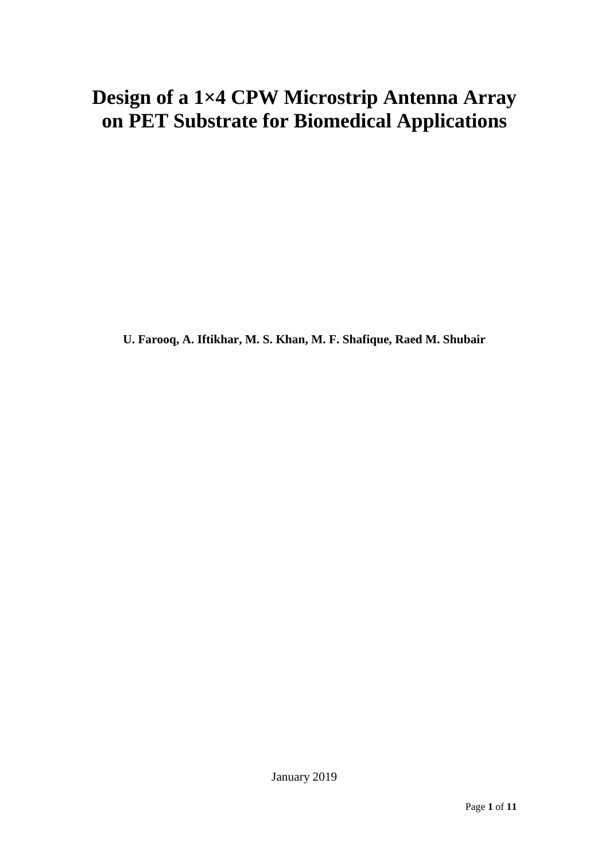# **Design of a 1×4 CPW Microstrip Antenna Array on PET Substrate for Biomedical Applications**

**U. Farooq, A. Iftikhar, M. S. Khan, M. F. Shafique, Raed M. Shubair**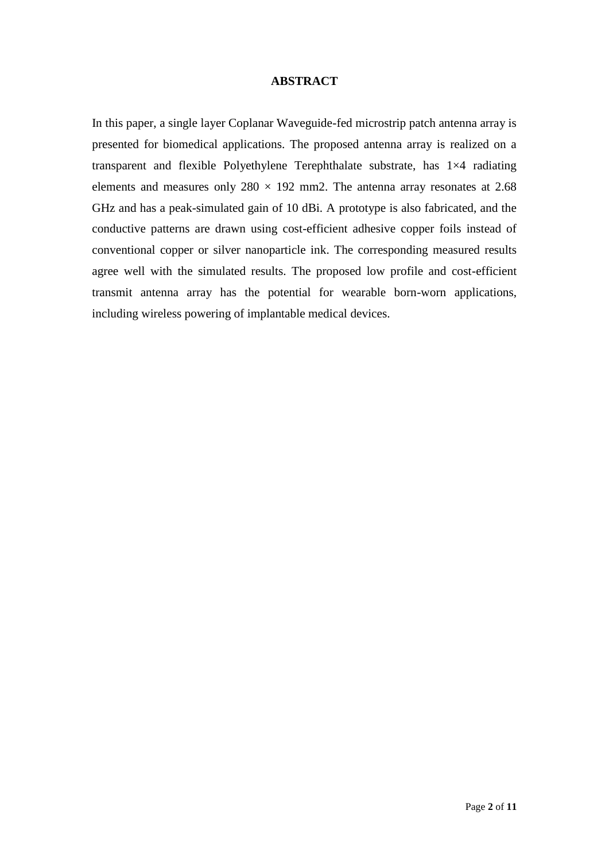### **ABSTRACT**

In this paper, a single layer Coplanar Waveguide-fed microstrip patch antenna array is presented for biomedical applications. The proposed antenna array is realized on a transparent and flexible Polyethylene Terephthalate substrate, has 1×4 radiating elements and measures only  $280 \times 192$  mm2. The antenna array resonates at 2.68 GHz and has a peak-simulated gain of 10 dBi. A prototype is also fabricated, and the conductive patterns are drawn using cost-efficient adhesive copper foils instead of conventional copper or silver nanoparticle ink. The corresponding measured results agree well with the simulated results. The proposed low profile and cost-efficient transmit antenna array has the potential for wearable born-worn applications, including wireless powering of implantable medical devices.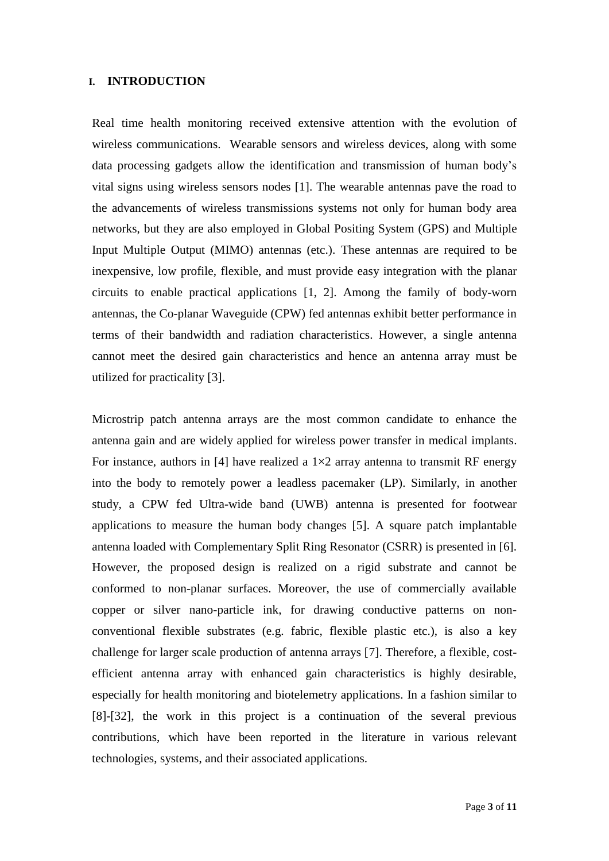## **I. INTRODUCTION**

Real time health monitoring received extensive attention with the evolution of wireless communications. Wearable sensors and wireless devices, along with some data processing gadgets allow the identification and transmission of human body's vital signs using wireless sensors nodes [1]. The wearable antennas pave the road to the advancements of wireless transmissions systems not only for human body area networks, but they are also employed in Global Positing System (GPS) and Multiple Input Multiple Output (MIMO) antennas (etc.). These antennas are required to be inexpensive, low profile, flexible, and must provide easy integration with the planar circuits to enable practical applications [1, 2]. Among the family of body-worn antennas, the Co-planar Waveguide (CPW) fed antennas exhibit better performance in terms of their bandwidth and radiation characteristics. However, a single antenna cannot meet the desired gain characteristics and hence an antenna array must be utilized for practicality [3].

Microstrip patch antenna arrays are the most common candidate to enhance the antenna gain and are widely applied for wireless power transfer in medical implants. For instance, authors in [4] have realized a  $1\times 2$  array antenna to transmit RF energy into the body to remotely power a leadless pacemaker (LP). Similarly, in another study, a CPW fed Ultra-wide band (UWB) antenna is presented for footwear applications to measure the human body changes [5]. A square patch implantable antenna loaded with Complementary Split Ring Resonator (CSRR) is presented in [6]. However, the proposed design is realized on a rigid substrate and cannot be conformed to non-planar surfaces. Moreover, the use of commercially available copper or silver nano-particle ink, for drawing conductive patterns on nonconventional flexible substrates (e.g. fabric, flexible plastic etc.), is also a key challenge for larger scale production of antenna arrays [7]. Therefore, a flexible, costefficient antenna array with enhanced gain characteristics is highly desirable, especially for health monitoring and biotelemetry applications. In a fashion similar to [8]-[32], the work in this project is a continuation of the several previous contributions, which have been reported in the literature in various relevant technologies, systems, and their associated applications.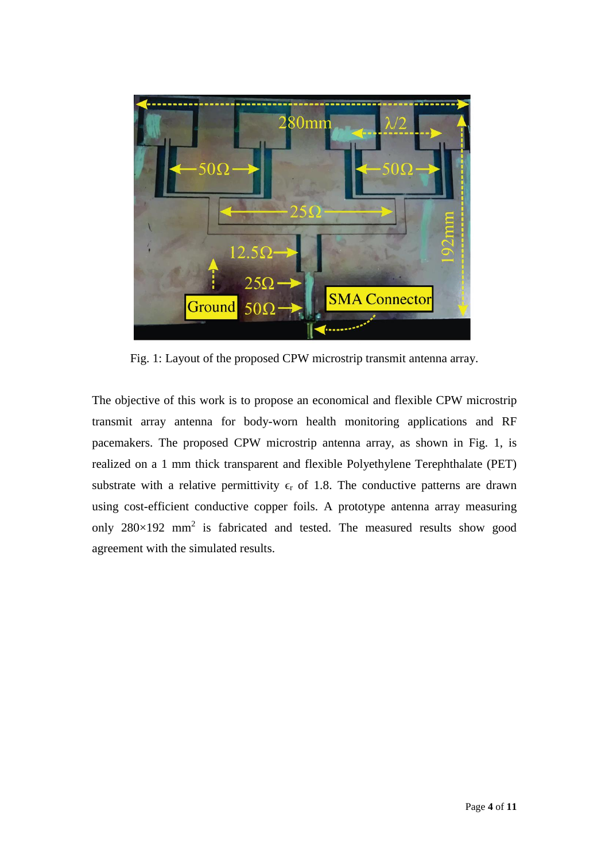

Fig. 1: Layout of the proposed CPW microstrip transmit antenna array.

The objective of this work is to propose an economical and flexible CPW microstrip transmit array antenna for body-worn health monitoring applications and RF pacemakers. The proposed CPW microstrip antenna array, as shown in Fig. 1, is realized on a 1 mm thick transparent and flexible Polyethylene Terephthalate (PET) substrate with a relative permittivity  $\epsilon_r$  of 1.8. The conductive patterns are drawn using cost-efficient conductive copper foils. A prototype antenna array measuring only  $280 \times 192$  mm<sup>2</sup> is fabricated and tested. The measured results show good agreement with the simulated results.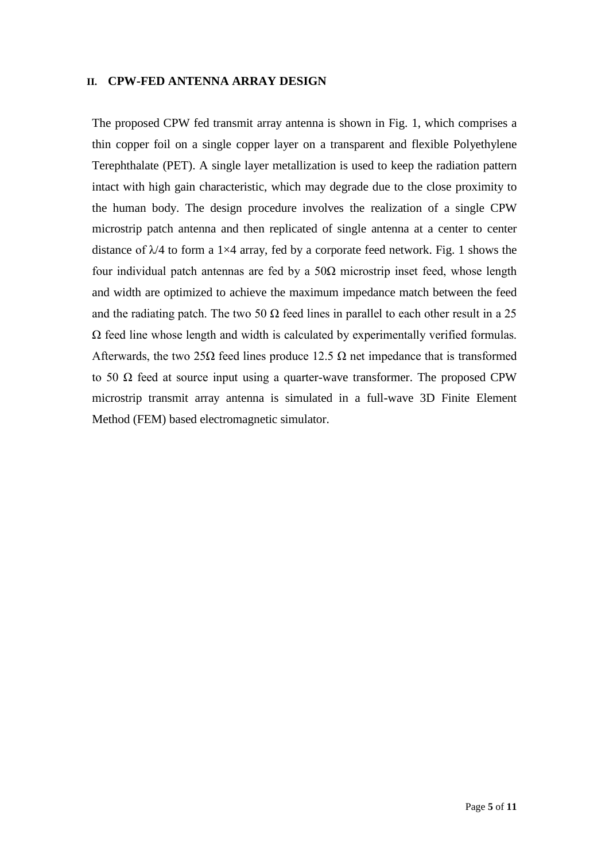#### **II. CPW-FED ANTENNA ARRAY DESIGN**

The proposed CPW fed transmit array antenna is shown in Fig. 1, which comprises a thin copper foil on a single copper layer on a transparent and flexible Polyethylene Terephthalate (PET). A single layer metallization is used to keep the radiation pattern intact with high gain characteristic, which may degrade due to the close proximity to the human body. The design procedure involves the realization of a single CPW microstrip patch antenna and then replicated of single antenna at a center to center distance of  $\lambda$ /4 to form a 1×4 array, fed by a corporate feed network. Fig. 1 shows the four individual patch antennas are fed by a  $50\Omega$  microstrip inset feed, whose length and width are optimized to achieve the maximum impedance match between the feed and the radiating patch. The two 50  $\Omega$  feed lines in parallel to each other result in a 25 Ω feed line whose length and width is calculated by experimentally verified formulas. Afterwards, the two 25 $\Omega$  feed lines produce 12.5  $\Omega$  net impedance that is transformed to 50 Ω feed at source input using a quarter-wave transformer. The proposed CPW microstrip transmit array antenna is simulated in a full-wave 3D Finite Element Method (FEM) based electromagnetic simulator.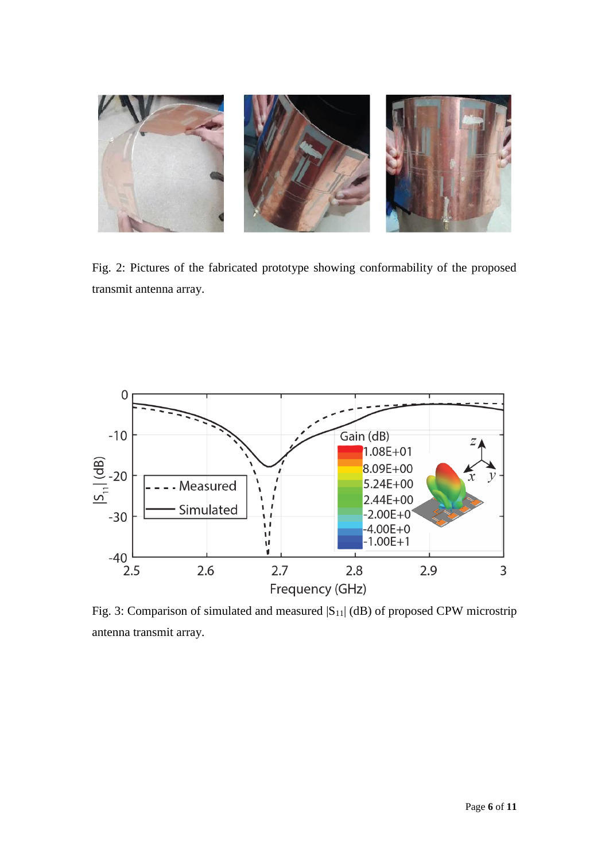

Fig. 2: Pictures of the fabricated prototype showing conformability of the proposed transmit antenna array.



Fig. 3: Comparison of simulated and measured  $|S_{11}|$  (dB) of proposed CPW microstrip antenna transmit array.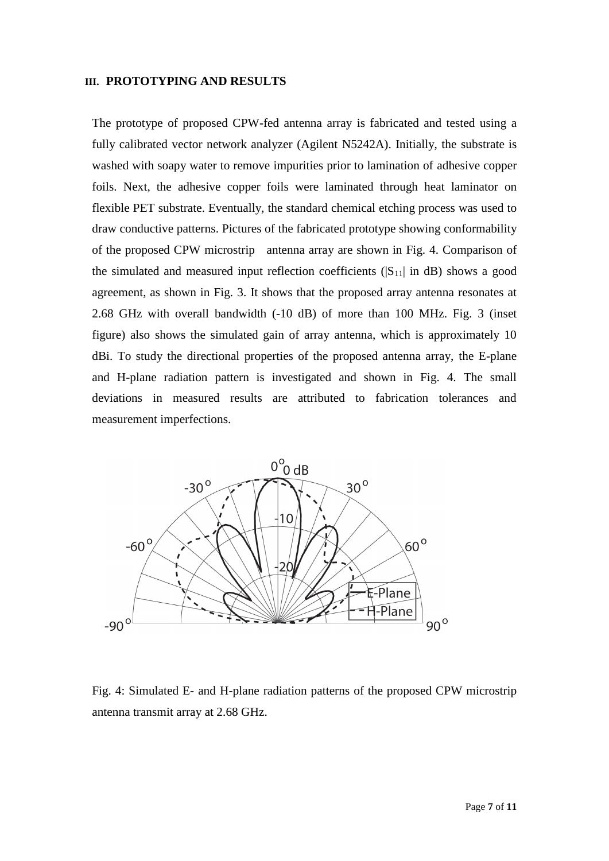#### **III. PROTOTYPING AND RESULTS**

The prototype of proposed CPW-fed antenna array is fabricated and tested using a fully calibrated vector network analyzer (Agilent N5242A). Initially, the substrate is washed with soapy water to remove impurities prior to lamination of adhesive copper foils. Next, the adhesive copper foils were laminated through heat laminator on flexible PET substrate. Eventually, the standard chemical etching process was used to draw conductive patterns. Pictures of the fabricated prototype showing conformability of the proposed CPW microstrip antenna array are shown in Fig. 4. Comparison of the simulated and measured input reflection coefficients  $(|S_{11}|$  in dB) shows a good agreement, as shown in Fig. 3. It shows that the proposed array antenna resonates at 2.68 GHz with overall bandwidth (-10 dB) of more than 100 MHz. Fig. 3 (inset figure) also shows the simulated gain of array antenna, which is approximately 10 dBi. To study the directional properties of the proposed antenna array, the E-plane and H-plane radiation pattern is investigated and shown in Fig. 4. The small deviations in measured results are attributed to fabrication tolerances and measurement imperfections.



Fig. 4: Simulated E- and H-plane radiation patterns of the proposed CPW microstrip antenna transmit array at 2.68 GHz.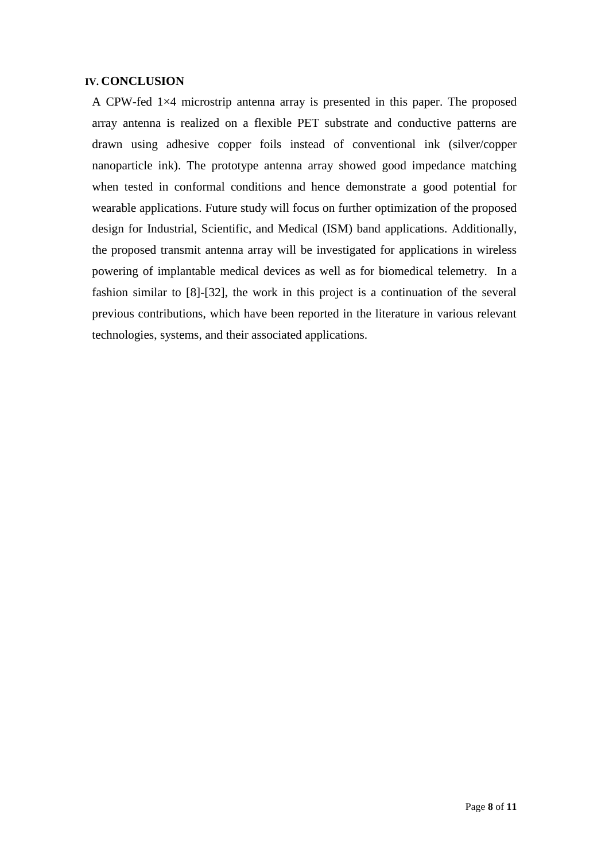## **IV. CONCLUSION**

A CPW-fed 1×4 microstrip antenna array is presented in this paper. The proposed array antenna is realized on a flexible PET substrate and conductive patterns are drawn using adhesive copper foils instead of conventional ink (silver/copper nanoparticle ink). The prototype antenna array showed good impedance matching when tested in conformal conditions and hence demonstrate a good potential for wearable applications. Future study will focus on further optimization of the proposed design for Industrial, Scientific, and Medical (ISM) band applications. Additionally, the proposed transmit antenna array will be investigated for applications in wireless powering of implantable medical devices as well as for biomedical telemetry. In a fashion similar to [8]-[32], the work in this project is a continuation of the several previous contributions, which have been reported in the literature in various relevant technologies, systems, and their associated applications.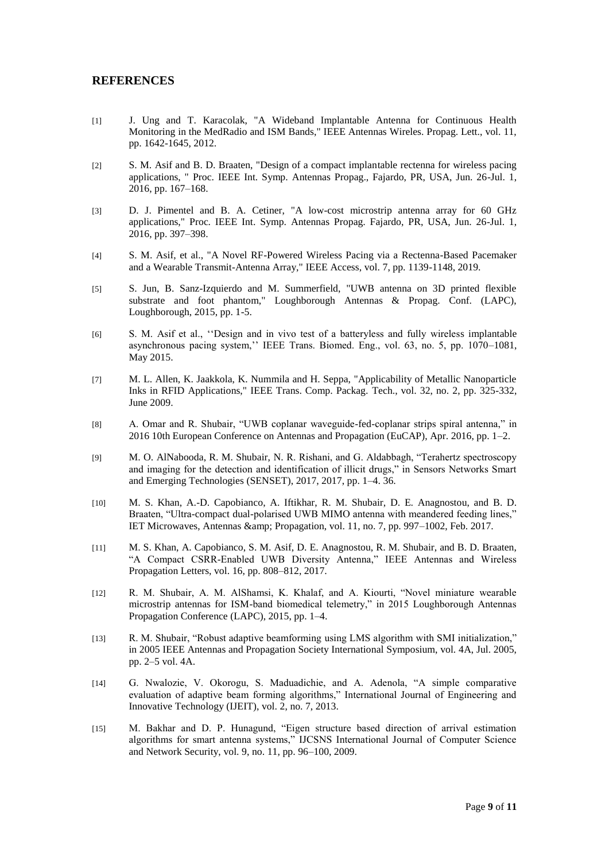#### **REFERENCES**

- [1] J. Ung and T. Karacolak, "A Wideband Implantable Antenna for Continuous Health Monitoring in the MedRadio and ISM Bands," IEEE Antennas Wireles. Propag. Lett., vol. 11, pp. 1642-1645, 2012.
- [2] S. M. Asif and B. D. Braaten, "Design of a compact implantable rectenna for wireless pacing applications, " Proc. IEEE Int. Symp. Antennas Propag., Fajardo, PR, USA, Jun. 26-Jul. 1, 2016, pp. 167–168.
- [3] D. J. Pimentel and B. A. Cetiner, "A low-cost microstrip antenna array for 60 GHz applications," Proc. IEEE Int. Symp. Antennas Propag. Fajardo, PR, USA, Jun. 26-Jul. 1, 2016, pp. 397–398.
- [4] S. M. Asif, et al., "A Novel RF-Powered Wireless Pacing via a Rectenna-Based Pacemaker and a Wearable Transmit-Antenna Array," IEEE Access, vol. 7, pp. 1139-1148, 2019.
- [5] S. Jun, B. Sanz-Izquierdo and M. Summerfield, "UWB antenna on 3D printed flexible substrate and foot phantom," Loughborough Antennas & Propag. Conf. (LAPC), Loughborough, 2015, pp. 1-5.
- [6] S. M. Asif et al., ''Design and in vivo test of a batteryless and fully wireless implantable asynchronous pacing system,'' IEEE Trans. Biomed. Eng., vol. 63, no. 5, pp. 1070–1081, May 2015.
- [7] M. L. Allen, K. Jaakkola, K. Nummila and H. Seppa, "Applicability of Metallic Nanoparticle Inks in RFID Applications," IEEE Trans. Comp. Packag. Tech., vol. 32, no. 2, pp. 325-332, June 2009.
- [8] A. Omar and R. Shubair, "UWB coplanar waveguide-fed-coplanar strips spiral antenna," in 2016 10th European Conference on Antennas and Propagation (EuCAP), Apr. 2016, pp. 1–2.
- [9] M. O. AlNabooda, R. M. Shubair, N. R. Rishani, and G. Aldabbagh, "Terahertz spectroscopy and imaging for the detection and identification of illicit drugs," in Sensors Networks Smart and Emerging Technologies (SENSET), 2017, 2017, pp. 1–4. 36.
- [10] M. S. Khan, A.-D. Capobianco, A. Iftikhar, R. M. Shubair, D. E. Anagnostou, and B. D. Braaten, "Ultra-compact dual-polarised UWB MIMO antenna with meandered feeding lines," IET Microwaves, Antennas & amp; Propagation, vol. 11, no. 7, pp. 997–1002, Feb. 2017.
- [11] M. S. Khan, A. Capobianco, S. M. Asif, D. E. Anagnostou, R. M. Shubair, and B. D. Braaten, "A Compact CSRR-Enabled UWB Diversity Antenna," IEEE Antennas and Wireless Propagation Letters, vol. 16, pp. 808–812, 2017.
- [12] R. M. Shubair, A. M. AlShamsi, K. Khalaf, and A. Kiourti, "Novel miniature wearable microstrip antennas for ISM-band biomedical telemetry," in 2015 Loughborough Antennas Propagation Conference (LAPC), 2015, pp. 1–4.
- [13] R. M. Shubair, "Robust adaptive beamforming using LMS algorithm with SMI initialization," in 2005 IEEE Antennas and Propagation Society International Symposium, vol. 4A, Jul. 2005, pp. 2–5 vol. 4A.
- [14] G. Nwalozie, V. Okorogu, S. Maduadichie, and A. Adenola, "A simple comparative evaluation of adaptive beam forming algorithms," International Journal of Engineering and Innovative Technology (IJEIT), vol. 2, no. 7, 2013.
- [15] M. Bakhar and D. P. Hunagund, "Eigen structure based direction of arrival estimation algorithms for smart antenna systems," IJCSNS International Journal of Computer Science and Network Security, vol. 9, no. 11, pp. 96–100, 2009.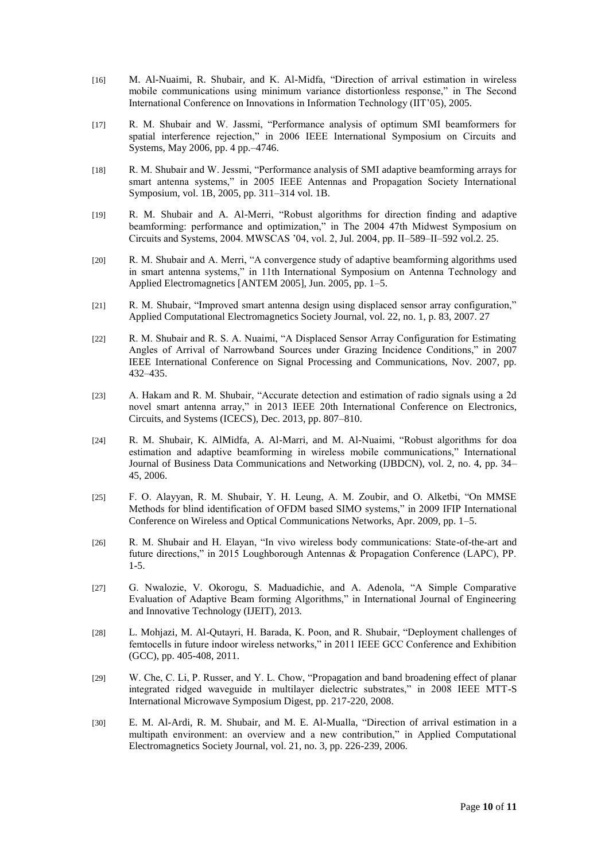- [16] M. Al-Nuaimi, R. Shubair, and K. Al-Midfa, "Direction of arrival estimation in wireless mobile communications using minimum variance distortionless response," in The Second International Conference on Innovations in Information Technology (IIT'05), 2005.
- [17] R. M. Shubair and W. Jassmi, "Performance analysis of optimum SMI beamformers for spatial interference rejection," in 2006 IEEE International Symposium on Circuits and Systems, May 2006, pp. 4 pp.–4746.
- [18] R. M. Shubair and W. Jessmi, "Performance analysis of SMI adaptive beamforming arrays for smart antenna systems," in 2005 IEEE Antennas and Propagation Society International Symposium, vol. 1B, 2005, pp. 311–314 vol. 1B.
- [19] R. M. Shubair and A. Al-Merri, "Robust algorithms for direction finding and adaptive beamforming: performance and optimization," in The 2004 47th Midwest Symposium on Circuits and Systems, 2004. MWSCAS '04, vol. 2, Jul. 2004, pp. II–589–II–592 vol.2. 25.
- [20] R. M. Shubair and A. Merri, "A convergence study of adaptive beamforming algorithms used in smart antenna systems," in 11th International Symposium on Antenna Technology and Applied Electromagnetics [ANTEM 2005], Jun. 2005, pp. 1–5.
- [21] R. M. Shubair, "Improved smart antenna design using displaced sensor array configuration," Applied Computational Electromagnetics Society Journal, vol. 22, no. 1, p. 83, 2007. 27
- [22] R. M. Shubair and R. S. A. Nuaimi, "A Displaced Sensor Array Configuration for Estimating Angles of Arrival of Narrowband Sources under Grazing Incidence Conditions," in 2007 IEEE International Conference on Signal Processing and Communications, Nov. 2007, pp. 432–435.
- [23] A. Hakam and R. M. Shubair, "Accurate detection and estimation of radio signals using a 2d novel smart antenna array," in 2013 IEEE 20th International Conference on Electronics, Circuits, and Systems (ICECS), Dec. 2013, pp. 807–810.
- [24] R. M. Shubair, K. AlMidfa, A. Al-Marri, and M. Al-Nuaimi, "Robust algorithms for doa estimation and adaptive beamforming in wireless mobile communications," International Journal of Business Data Communications and Networking (IJBDCN), vol. 2, no. 4, pp. 34– 45, 2006.
- [25] F. O. Alayyan, R. M. Shubair, Y. H. Leung, A. M. Zoubir, and O. Alketbi, "On MMSE Methods for blind identification of OFDM based SIMO systems," in 2009 IFIP International Conference on Wireless and Optical Communications Networks, Apr. 2009, pp. 1–5.
- [26] R. M. Shubair and H. Elayan, "In vivo wireless body communications: State-of-the-art and future directions," in 2015 Loughborough Antennas & Propagation Conference (LAPC), PP. 1-5.
- [27] G. Nwalozie, V. Okorogu, S. Maduadichie, and A. Adenola, "A Simple Comparative Evaluation of Adaptive Beam forming Algorithms," in International Journal of Engineering and Innovative Technology (IJEIT), 2013.
- [28] L. Mohjazi, M. Al-Qutayri, H. Barada, K. Poon, and R. Shubair, "Deployment challenges of femtocells in future indoor wireless networks," in 2011 IEEE GCC Conference and Exhibition (GCC), pp. 405-408, 2011.
- [29] W. Che, C. Li, P. Russer, and Y. L. Chow, "Propagation and band broadening effect of planar integrated ridged waveguide in multilayer dielectric substrates," in 2008 IEEE MTT-S International Microwave Symposium Digest, pp. 217-220, 2008.
- [30] E. M. Al-Ardi, R. M. Shubair, and M. E. Al-Mualla, "Direction of arrival estimation in a multipath environment: an overview and a new contribution," in Applied Computational Electromagnetics Society Journal, vol. 21, no. 3, pp. 226-239, 2006.